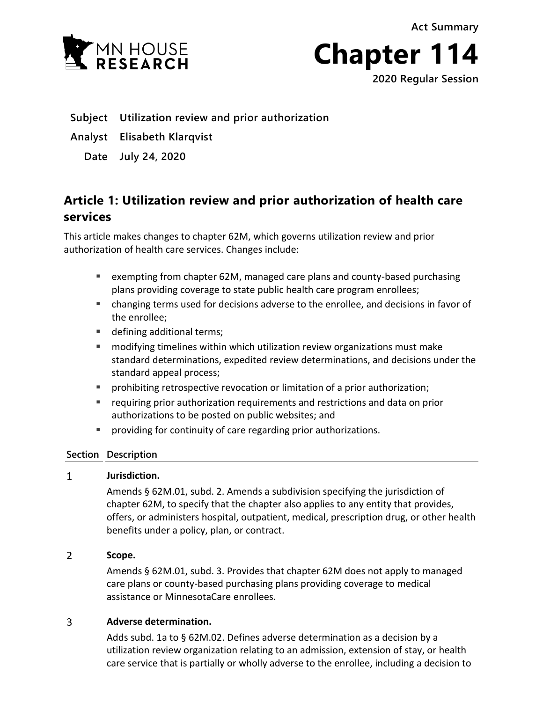**Act Summary**



**Chapter 114**

**2020 Regular Session**

- **Subject Utilization review and prior authorization**
- **Analyst Elisabeth Klarqvist**
	- **Date July 24, 2020**

# **Article 1: Utilization review and prior authorization of health care services**

This article makes changes to chapter 62M, which governs utilization review and prior authorization of health care services. Changes include:

- exempting from chapter 62M, managed care plans and county-based purchasing plans providing coverage to state public health care program enrollees;
- changing terms used for decisions adverse to the enrollee, and decisions in favor of the enrollee;
- defining additional terms;
- modifying timelines within which utilization review organizations must make standard determinations, expedited review determinations, and decisions under the standard appeal process;
- **PED 1** prohibiting retrospective revocation or limitation of a prior authorization;
- requiring prior authorization requirements and restrictions and data on prior authorizations to be posted on public websites; and
- **Peroviding for continuity of care regarding prior authorizations.**

## **Section Description**

#### $\mathbf{1}$ **Jurisdiction.**

Amends § 62M.01, subd. 2. Amends a subdivision specifying the jurisdiction of chapter 62M, to specify that the chapter also applies to any entity that provides, offers, or administers hospital, outpatient, medical, prescription drug, or other health benefits under a policy, plan, or contract.

#### $\overline{2}$ **Scope.**

Amends § 62M.01, subd. 3. Provides that chapter 62M does not apply to managed care plans or county-based purchasing plans providing coverage to medical assistance or MinnesotaCare enrollees.

#### 3 **Adverse determination.**

Adds subd. 1a to § 62M.02. Defines adverse determination as a decision by a utilization review organization relating to an admission, extension of stay, or health care service that is partially or wholly adverse to the enrollee, including a decision to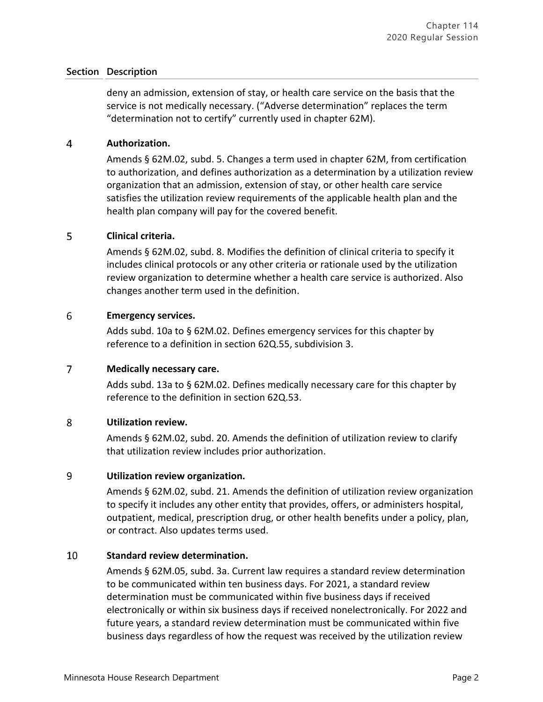deny an admission, extension of stay, or health care service on the basis that the service is not medically necessary. ("Adverse determination" replaces the term "determination not to certify" currently used in chapter 62M).

#### $\overline{4}$ **Authorization.**

Amends § 62M.02, subd. 5. Changes a term used in chapter 62M, from certification to authorization, and defines authorization as a determination by a utilization review organization that an admission, extension of stay, or other health care service satisfies the utilization review requirements of the applicable health plan and the health plan company will pay for the covered benefit.

#### 5 **Clinical criteria.**

Amends § 62M.02, subd. 8. Modifies the definition of clinical criteria to specify it includes clinical protocols or any other criteria or rationale used by the utilization review organization to determine whether a health care service is authorized. Also changes another term used in the definition.

#### 6 **Emergency services.**

Adds subd. 10a to § 62M.02. Defines emergency services for this chapter by reference to a definition in section 62Q.55, subdivision 3.

#### $\overline{7}$ **Medically necessary care.**

Adds subd. 13a to § 62M.02. Defines medically necessary care for this chapter by reference to the definition in section 62Q.53.

#### 8 **Utilization review.**

Amends § 62M.02, subd. 20. Amends the definition of utilization review to clarify that utilization review includes prior authorization.

#### 9 **Utilization review organization.**

Amends § 62M.02, subd. 21. Amends the definition of utilization review organization to specify it includes any other entity that provides, offers, or administers hospital, outpatient, medical, prescription drug, or other health benefits under a policy, plan, or contract. Also updates terms used.

#### 10 **Standard review determination.**

Amends § 62M.05, subd. 3a. Current law requires a standard review determination to be communicated within ten business days. For 2021, a standard review determination must be communicated within five business days if received electronically or within six business days if received nonelectronically. For 2022 and future years, a standard review determination must be communicated within five business days regardless of how the request was received by the utilization review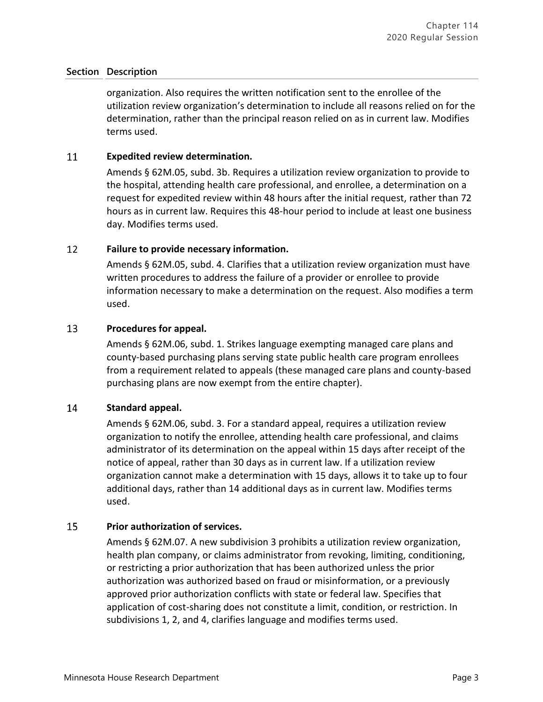organization. Also requires the written notification sent to the enrollee of the utilization review organization's determination to include all reasons relied on for the determination, rather than the principal reason relied on as in current law. Modifies terms used.

#### 11 **Expedited review determination.**

Amends § 62M.05, subd. 3b. Requires a utilization review organization to provide to the hospital, attending health care professional, and enrollee, a determination on a request for expedited review within 48 hours after the initial request, rather than 72 hours as in current law. Requires this 48-hour period to include at least one business day. Modifies terms used.

#### 12 **Failure to provide necessary information.**

Amends § 62M.05, subd. 4. Clarifies that a utilization review organization must have written procedures to address the failure of a provider or enrollee to provide information necessary to make a determination on the request. Also modifies a term used.

#### 13 **Procedures for appeal.**

Amends § 62M.06, subd. 1. Strikes language exempting managed care plans and county-based purchasing plans serving state public health care program enrollees from a requirement related to appeals (these managed care plans and county-based purchasing plans are now exempt from the entire chapter).

#### 14 **Standard appeal.**

Amends § 62M.06, subd. 3. For a standard appeal, requires a utilization review organization to notify the enrollee, attending health care professional, and claims administrator of its determination on the appeal within 15 days after receipt of the notice of appeal, rather than 30 days as in current law. If a utilization review organization cannot make a determination with 15 days, allows it to take up to four additional days, rather than 14 additional days as in current law. Modifies terms used.

#### 15 **Prior authorization of services.**

Amends § 62M.07. A new subdivision 3 prohibits a utilization review organization, health plan company, or claims administrator from revoking, limiting, conditioning, or restricting a prior authorization that has been authorized unless the prior authorization was authorized based on fraud or misinformation, or a previously approved prior authorization conflicts with state or federal law. Specifies that application of cost-sharing does not constitute a limit, condition, or restriction. In subdivisions 1, 2, and 4, clarifies language and modifies terms used.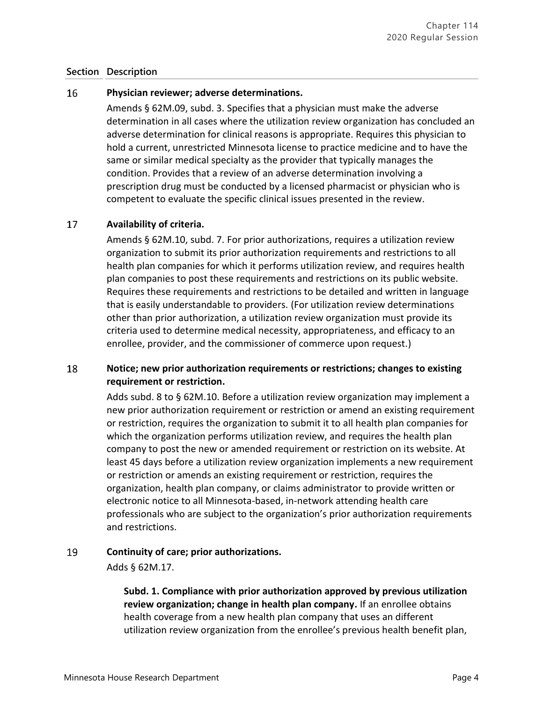#### 16 **Physician reviewer; adverse determinations.**

Amends § 62M.09, subd. 3. Specifies that a physician must make the adverse determination in all cases where the utilization review organization has concluded an adverse determination for clinical reasons is appropriate. Requires this physician to hold a current, unrestricted Minnesota license to practice medicine and to have the same or similar medical specialty as the provider that typically manages the condition. Provides that a review of an adverse determination involving a prescription drug must be conducted by a licensed pharmacist or physician who is competent to evaluate the specific clinical issues presented in the review.

#### 17 **Availability of criteria.**

Amends § 62M.10, subd. 7. For prior authorizations, requires a utilization review organization to submit its prior authorization requirements and restrictions to all health plan companies for which it performs utilization review, and requires health plan companies to post these requirements and restrictions on its public website. Requires these requirements and restrictions to be detailed and written in language that is easily understandable to providers. (For utilization review determinations other than prior authorization, a utilization review organization must provide its criteria used to determine medical necessity, appropriateness, and efficacy to an enrollee, provider, and the commissioner of commerce upon request.)

### 18 **Notice; new prior authorization requirements or restrictions; changes to existing requirement or restriction.**

Adds subd. 8 to § 62M.10. Before a utilization review organization may implement a new prior authorization requirement or restriction or amend an existing requirement or restriction, requires the organization to submit it to all health plan companies for which the organization performs utilization review, and requires the health plan company to post the new or amended requirement or restriction on its website. At least 45 days before a utilization review organization implements a new requirement or restriction or amends an existing requirement or restriction, requires the organization, health plan company, or claims administrator to provide written or electronic notice to all Minnesota-based, in-network attending health care professionals who are subject to the organization's prior authorization requirements and restrictions.

#### 19 **Continuity of care; prior authorizations.**

Adds § 62M.17.

**Subd. 1. Compliance with prior authorization approved by previous utilization review organization; change in health plan company.** If an enrollee obtains health coverage from a new health plan company that uses an different utilization review organization from the enrollee's previous health benefit plan,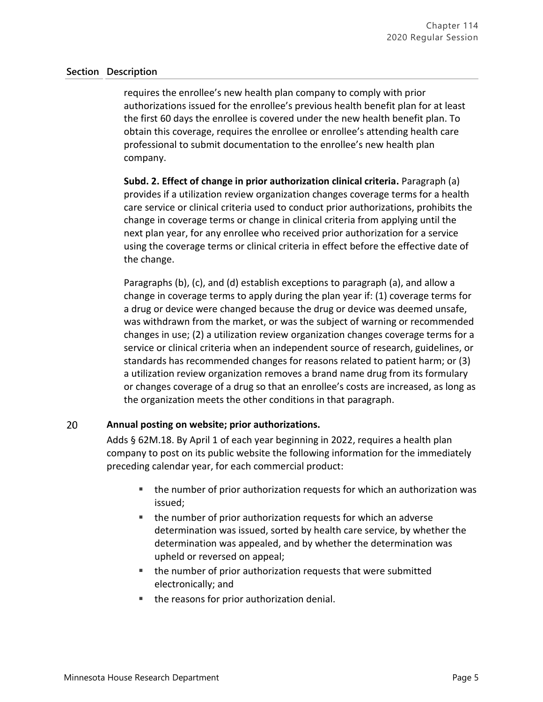requires the enrollee's new health plan company to comply with prior authorizations issued for the enrollee's previous health benefit plan for at least the first 60 days the enrollee is covered under the new health benefit plan. To obtain this coverage, requires the enrollee or enrollee's attending health care professional to submit documentation to the enrollee's new health plan company.

**Subd. 2. Effect of change in prior authorization clinical criteria.** Paragraph (a) provides if a utilization review organization changes coverage terms for a health care service or clinical criteria used to conduct prior authorizations, prohibits the change in coverage terms or change in clinical criteria from applying until the next plan year, for any enrollee who received prior authorization for a service using the coverage terms or clinical criteria in effect before the effective date of the change.

Paragraphs (b), (c), and (d) establish exceptions to paragraph (a), and allow a change in coverage terms to apply during the plan year if: (1) coverage terms for a drug or device were changed because the drug or device was deemed unsafe, was withdrawn from the market, or was the subject of warning or recommended changes in use; (2) a utilization review organization changes coverage terms for a service or clinical criteria when an independent source of research, guidelines, or standards has recommended changes for reasons related to patient harm; or (3) a utilization review organization removes a brand name drug from its formulary or changes coverage of a drug so that an enrollee's costs are increased, as long as the organization meets the other conditions in that paragraph.

#### 20 **Annual posting on website; prior authorizations.**

Adds § 62M.18. By April 1 of each year beginning in 2022, requires a health plan company to post on its public website the following information for the immediately preceding calendar year, for each commercial product:

- the number of prior authorization requests for which an authorization was issued;
- the number of prior authorization requests for which an adverse determination was issued, sorted by health care service, by whether the determination was appealed, and by whether the determination was upheld or reversed on appeal;
- the number of prior authorization requests that were submitted electronically; and
- the reasons for prior authorization denial.